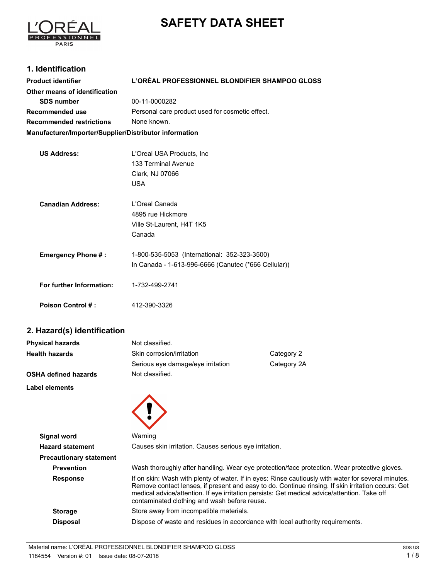# **SAFETY DATA SHEET**



## **1. Identification**

| <b>Product identifier</b>                              | L'ORÉAL PROFESSIONNEL BLONDIFIER SHAMPOO GLOSS       |  |
|--------------------------------------------------------|------------------------------------------------------|--|
| Other means of identification                          |                                                      |  |
| <b>SDS number</b>                                      | 00-11-0000282                                        |  |
| Recommended use                                        | Personal care product used for cosmetic effect.      |  |
| <b>Recommended restrictions</b>                        | None known.                                          |  |
| Manufacturer/Importer/Supplier/Distributor information |                                                      |  |
|                                                        |                                                      |  |
| <b>US Address:</b>                                     | L'Oreal USA Products, Inc.                           |  |
|                                                        | 133 Terminal Avenue                                  |  |
|                                                        | Clark, NJ 07066                                      |  |
|                                                        | <b>USA</b>                                           |  |
| <b>Canadian Address:</b>                               | L'Oreal Canada                                       |  |
|                                                        | 4895 rue Hickmore                                    |  |
|                                                        | Ville St-Laurent, H4T 1K5                            |  |
|                                                        | Canada                                               |  |
| <b>Emergency Phone #:</b>                              | 1-800-535-5053 (International: 352-323-3500)         |  |
|                                                        | In Canada - 1-613-996-6666 (Canutec (*666 Cellular)) |  |
|                                                        |                                                      |  |
| For further Information:                               | 1-732-499-2741                                       |  |
| <b>Poison Control #:</b>                               | 412-390-3326                                         |  |

# **2. Hazard(s) identification**

| <b>Physical hazards</b>     | Not classified.                   |             |
|-----------------------------|-----------------------------------|-------------|
| <b>Health hazards</b>       | Skin corrosion/irritation         | Category 2  |
|                             | Serious eye damage/eye irritation | Category 2A |
| <b>OSHA defined hazards</b> | Not classified.                   |             |
| Label elements              |                                   |             |



| Signal word                    | Warning                                                                                                                                                                                                                                                                                                                                                   |  |
|--------------------------------|-----------------------------------------------------------------------------------------------------------------------------------------------------------------------------------------------------------------------------------------------------------------------------------------------------------------------------------------------------------|--|
| <b>Hazard statement</b>        | Causes skin irritation. Causes serious eye irritation.                                                                                                                                                                                                                                                                                                    |  |
| <b>Precautionary statement</b> |                                                                                                                                                                                                                                                                                                                                                           |  |
| <b>Prevention</b>              | Wash thoroughly after handling. Wear eye protection/face protection. Wear protective gloves.                                                                                                                                                                                                                                                              |  |
| <b>Response</b>                | If on skin: Wash with plenty of water. If in eyes: Rinse cautiously with water for several minutes.<br>Remove contact lenses, if present and easy to do. Continue rinsing. If skin irritation occurs: Get<br>medical advice/attention. If eye irritation persists: Get medical advice/attention. Take off<br>contaminated clothing and wash before reuse. |  |
| <b>Storage</b>                 | Store away from incompatible materials.                                                                                                                                                                                                                                                                                                                   |  |
| <b>Disposal</b>                | Dispose of waste and residues in accordance with local authority requirements.                                                                                                                                                                                                                                                                            |  |
|                                |                                                                                                                                                                                                                                                                                                                                                           |  |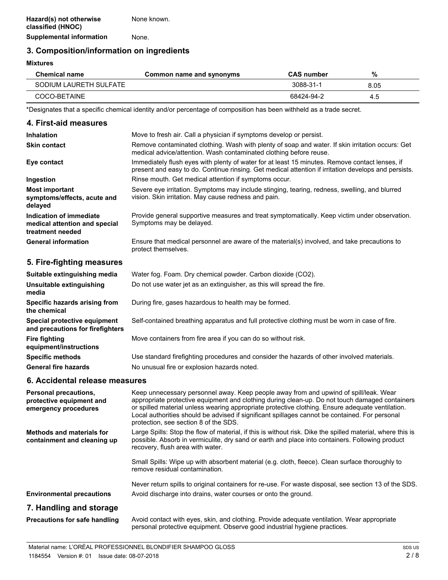**Supplemental information** None.

## **3. Composition/information on ingredients**

#### **Mixtures**

| <b>Chemical name</b>   | Common name and synonyms | <b>CAS number</b> | %    |  |
|------------------------|--------------------------|-------------------|------|--|
| SODIUM LAURETH SULFATE |                          | 3088-31-1         | 8.05 |  |
| COCO-BETAINE           |                          | 68424-94-2        | -4.5 |  |

\*Designates that a specific chemical identity and/or percentage of composition has been withheld as a trade secret.

| 4. First-aid measures                                                        |                                                                                                                                                                                                        |
|------------------------------------------------------------------------------|--------------------------------------------------------------------------------------------------------------------------------------------------------------------------------------------------------|
| Inhalation                                                                   | Move to fresh air. Call a physician if symptoms develop or persist.                                                                                                                                    |
| <b>Skin contact</b>                                                          | Remove contaminated clothing. Wash with plenty of soap and water. If skin irritation occurs: Get<br>medical advice/attention. Wash contaminated clothing before reuse.                                 |
| Eye contact                                                                  | Immediately flush eyes with plenty of water for at least 15 minutes. Remove contact lenses, if<br>present and easy to do. Continue rinsing. Get medical attention if irritation develops and persists. |
| Ingestion                                                                    | Rinse mouth. Get medical attention if symptoms occur.                                                                                                                                                  |
| <b>Most important</b><br>symptoms/effects, acute and<br>delayed              | Severe eye irritation. Symptoms may include stinging, tearing, redness, swelling, and blurred<br>vision. Skin irritation. May cause redness and pain.                                                  |
| Indication of immediate<br>medical attention and special<br>treatment needed | Provide general supportive measures and treat symptomatically. Keep victim under observation.<br>Symptoms may be delayed.                                                                              |
| <b>General information</b>                                                   | Ensure that medical personnel are aware of the material(s) involved, and take precautions to<br>protect themselves.                                                                                    |
| 5. Fire-fighting measures                                                    |                                                                                                                                                                                                        |
| Suitable extinguishing media                                                 | Water fog. Foam. Dry chemical powder. Carbon dioxide (CO2).                                                                                                                                            |
| Unsuitable extinguishing<br>media                                            | Do not use water jet as an extinguisher, as this will spread the fire.                                                                                                                                 |
| Snacific hazarde arising from                                                | During fire, gases hazardous to health may be formed                                                                                                                                                   |

| <b>Specific hazards arising from</b><br>the chemical                    | During fire, gases hazardous to health may be formed.                                         |
|-------------------------------------------------------------------------|-----------------------------------------------------------------------------------------------|
| <b>Special protective equipment</b><br>and precautions for firefighters | Self-contained breathing apparatus and full protective clothing must be worn in case of fire. |
| Fire fighting<br>equipment/instructions                                 | Move containers from fire area if you can do so without risk.                                 |
| <b>Specific methods</b>                                                 | Use standard firefighting procedures and consider the hazards of other involved materials.    |
| General fire hazards                                                    | No unusual fire or explosion hazards noted.                                                   |

#### **6. Accidental release measures**

| <b>Personal precautions,</b><br>protective equipment and<br>emergency procedures | Keep unnecessary personnel away. Keep people away from and upwind of spill/leak. Wear<br>appropriate protective equipment and clothing during clean-up. Do not touch damaged containers<br>or spilled material unless wearing appropriate protective clothing. Ensure adequate ventilation.<br>Local authorities should be advised if significant spillages cannot be contained. For personal<br>protection, see section 8 of the SDS. |
|----------------------------------------------------------------------------------|----------------------------------------------------------------------------------------------------------------------------------------------------------------------------------------------------------------------------------------------------------------------------------------------------------------------------------------------------------------------------------------------------------------------------------------|
| <b>Methods and materials for</b><br>containment and cleaning up                  | Large Spills: Stop the flow of material, if this is without risk. Dike the spilled material, where this is<br>possible. Absorb in vermiculite, dry sand or earth and place into containers. Following product<br>recovery, flush area with water.                                                                                                                                                                                      |
|                                                                                  | Small Spills: Wipe up with absorbent material (e.g. cloth, fleece). Clean surface thoroughly to<br>remove residual contamination.                                                                                                                                                                                                                                                                                                      |
|                                                                                  | Never return spills to original containers for re-use. For waste disposal, see section 13 of the SDS.                                                                                                                                                                                                                                                                                                                                  |
| <b>Environmental precautions</b>                                                 | Avoid discharge into drains, water courses or onto the ground.                                                                                                                                                                                                                                                                                                                                                                         |
| 7. Handling and storage                                                          |                                                                                                                                                                                                                                                                                                                                                                                                                                        |
| <b>Precautions for safe handling</b>                                             | Avoid contact with eyes, skin, and clothing. Provide adequate ventilation. Wear appropriate<br>personal protective equipment. Observe good industrial hygiene practices.                                                                                                                                                                                                                                                               |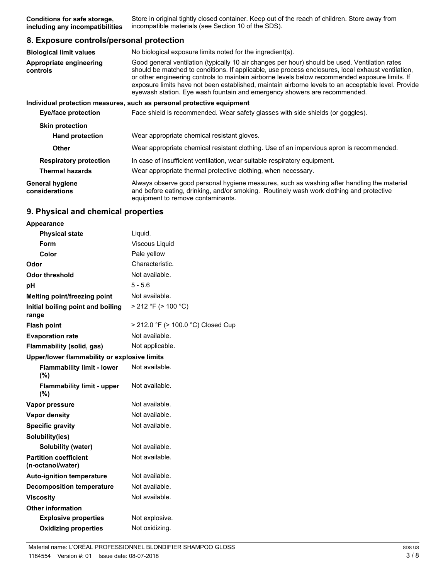Store in original tightly closed container. Keep out of the reach of children. Store away from incompatible materials (see Section 10 of the SDS). **Conditions for safe storage, including any incompatibilities**

#### **8. Exposure controls/personal protection**

| <b>Biological limit values</b>           | No biological exposure limits noted for the ingredient(s).                                                                                                                                                                                                                                                                                                                                                                                                                                  |  |
|------------------------------------------|---------------------------------------------------------------------------------------------------------------------------------------------------------------------------------------------------------------------------------------------------------------------------------------------------------------------------------------------------------------------------------------------------------------------------------------------------------------------------------------------|--|
| Appropriate engineering<br>controls      | Good general ventilation (typically 10 air changes per hour) should be used. Ventilation rates<br>should be matched to conditions. If applicable, use process enclosures, local exhaust ventilation,<br>or other engineering controls to maintain airborne levels below recommended exposure limits. If<br>exposure limits have not been established, maintain airborne levels to an acceptable level. Provide<br>eyewash station. Eye wash fountain and emergency showers are recommended. |  |
|                                          | Individual protection measures, such as personal protective equipment                                                                                                                                                                                                                                                                                                                                                                                                                       |  |
| <b>Eye/face protection</b>               | Face shield is recommended. Wear safety glasses with side shields (or goggles).                                                                                                                                                                                                                                                                                                                                                                                                             |  |
| <b>Skin protection</b>                   |                                                                                                                                                                                                                                                                                                                                                                                                                                                                                             |  |
| <b>Hand protection</b>                   | Wear appropriate chemical resistant gloves.                                                                                                                                                                                                                                                                                                                                                                                                                                                 |  |
| <b>Other</b>                             | Wear appropriate chemical resistant clothing. Use of an impervious apron is recommended.                                                                                                                                                                                                                                                                                                                                                                                                    |  |
| <b>Respiratory protection</b>            | In case of insufficient ventilation, wear suitable respiratory equipment.                                                                                                                                                                                                                                                                                                                                                                                                                   |  |
| <b>Thermal hazards</b>                   | Wear appropriate thermal protective clothing, when necessary.                                                                                                                                                                                                                                                                                                                                                                                                                               |  |
| <b>General hygiene</b><br>considerations | Always observe good personal hygiene measures, such as washing after handling the material<br>and before eating, drinking, and/or smoking. Routinely wash work clothing and protective<br>equipment to remove contaminants.                                                                                                                                                                                                                                                                 |  |

#### **9. Physical and chemical properties**

| Appearance                                        |                                    |  |
|---------------------------------------------------|------------------------------------|--|
| <b>Physical state</b>                             | Liquid.                            |  |
| Form                                              | Viscous Liquid                     |  |
| Color                                             | Pale yellow                        |  |
| Odor                                              | Characteristic.                    |  |
| <b>Odor threshold</b>                             | Not available.                     |  |
| рH                                                | $5 - 5.6$                          |  |
| Melting point/freezing point                      | Not available.                     |  |
| Initial boiling point and boiling<br>range        | > 212 °F (> 100 °C)                |  |
| <b>Flash point</b>                                | > 212.0 °F (> 100.0 °C) Closed Cup |  |
| <b>Evaporation rate</b>                           | Not available.                     |  |
| Flammability (solid, gas)                         | Not applicable.                    |  |
| Upper/lower flammability or explosive limits      |                                    |  |
| <b>Flammability limit - lower</b><br>(%)          | Not available.                     |  |
| <b>Flammability limit - upper</b><br>(%)          | Not available.                     |  |
| Vapor pressure                                    | Not available.                     |  |
| <b>Vapor density</b>                              | Not available.                     |  |
| <b>Specific gravity</b>                           | Not available.                     |  |
| Solubility(ies)                                   |                                    |  |
| Solubility (water)                                | Not available.                     |  |
| <b>Partition coefficient</b><br>(n-octanol/water) | Not available.                     |  |
| <b>Auto-ignition temperature</b>                  | Not available.                     |  |
| <b>Decomposition temperature</b>                  | Not available.                     |  |
| <b>Viscosity</b>                                  | Not available.                     |  |
| <b>Other information</b>                          |                                    |  |
| <b>Explosive properties</b>                       | Not explosive.                     |  |
| <b>Oxidizing properties</b>                       | Not oxidizing.                     |  |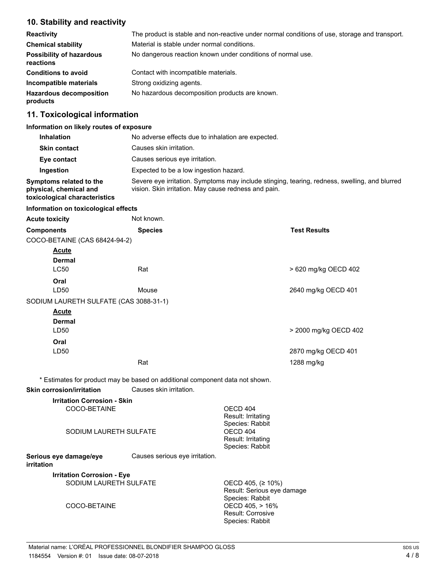# **10. Stability and reactivity**

| <b>Reactivity</b>                            | The product is stable and non-reactive under normal conditions of use, storage and transport. |  |
|----------------------------------------------|-----------------------------------------------------------------------------------------------|--|
| <b>Chemical stability</b>                    | Material is stable under normal conditions.                                                   |  |
| <b>Possibility of hazardous</b><br>reactions | No dangerous reaction known under conditions of normal use.                                   |  |
| <b>Conditions to avoid</b>                   | Contact with incompatible materials.                                                          |  |
| Incompatible materials                       | Strong oxidizing agents.                                                                      |  |
| <b>Hazardous decomposition</b><br>products   | No hazardous decomposition products are known.                                                |  |

# **11. Toxicological information**

#### **Information on likely routes of exposure**

| <b>Inhalation</b>                                                                  | No adverse effects due to inhalation are expected.                                                                                                    |  |
|------------------------------------------------------------------------------------|-------------------------------------------------------------------------------------------------------------------------------------------------------|--|
| <b>Skin contact</b>                                                                | Causes skin irritation.                                                                                                                               |  |
| Eye contact                                                                        | Causes serious eve irritation.                                                                                                                        |  |
| Ingestion                                                                          | Expected to be a low ingestion hazard.                                                                                                                |  |
| Symptoms related to the<br>physical, chemical and<br>toxicological characteristics | Severe eye irritation. Symptoms may include stinging, tearing, redness, swelling, and blurred<br>vision. Skin irritation. May cause redness and pain. |  |
|                                                                                    |                                                                                                                                                       |  |

#### **Information on toxicological effects**

| <b>Acute toxicity</b>                  | Not known.                                                                   |                                                                            |
|----------------------------------------|------------------------------------------------------------------------------|----------------------------------------------------------------------------|
| <b>Components</b>                      | <b>Species</b>                                                               | <b>Test Results</b>                                                        |
| COCO-BETAINE (CAS 68424-94-2)          |                                                                              |                                                                            |
| <b>Acute</b>                           |                                                                              |                                                                            |
| <b>Dermal</b>                          |                                                                              |                                                                            |
| <b>LC50</b>                            | Rat                                                                          | > 620 mg/kg OECD 402                                                       |
| Oral                                   |                                                                              |                                                                            |
| LD50                                   | Mouse                                                                        | 2640 mg/kg OECD 401                                                        |
| SODIUM LAURETH SULFATE (CAS 3088-31-1) |                                                                              |                                                                            |
| <b>Acute</b>                           |                                                                              |                                                                            |
| <b>Dermal</b>                          |                                                                              |                                                                            |
| LD50                                   |                                                                              | > 2000 mg/kg OECD 402                                                      |
| Oral                                   |                                                                              |                                                                            |
| LD50                                   |                                                                              | 2870 mg/kg OECD 401                                                        |
|                                        | Rat                                                                          | 1288 mg/kg                                                                 |
|                                        | * Estimates for product may be based on additional component data not shown. |                                                                            |
| <b>Skin corrosion/irritation</b>       | Causes skin irritation.                                                      |                                                                            |
| <b>Irritation Corrosion - Skin</b>     |                                                                              |                                                                            |
| COCO-BETAINE                           |                                                                              | OECD 404                                                                   |
|                                        |                                                                              | Result: Irritating                                                         |
|                                        | SODIUM LAURETH SULFATE                                                       | Species: Rabbit<br>OECD 404                                                |
|                                        |                                                                              | Result: Irritating                                                         |
|                                        |                                                                              | Species: Rabbit                                                            |
| Serious eye damage/eye<br>irritation   | Causes serious eye irritation.                                               |                                                                            |
| <b>Irritation Corrosion - Eye</b>      |                                                                              |                                                                            |
|                                        | SODIUM LAURETH SULFATE                                                       | OECD 405, (≥ 10%)<br>Result: Serious eye damage                            |
| COCO-BETAINE                           |                                                                              | Species: Rabbit<br>OECD 405, > 16%<br>Result: Corrosive<br>Species: Rabbit |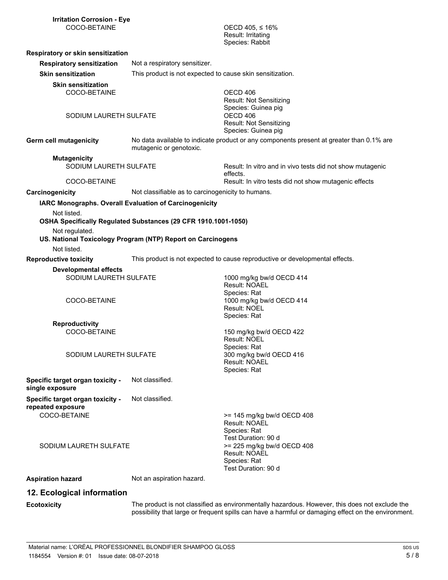OECD 405,  $\leq 16\%$ Result: Irritating Species: Rabbit

| Respiratory or skin sensitization                                      |                                                                                                                                                                                         |                                                                                                                                 |
|------------------------------------------------------------------------|-----------------------------------------------------------------------------------------------------------------------------------------------------------------------------------------|---------------------------------------------------------------------------------------------------------------------------------|
| <b>Respiratory sensitization</b>                                       | Not a respiratory sensitizer.                                                                                                                                                           |                                                                                                                                 |
| <b>Skin sensitization</b>                                              | This product is not expected to cause skin sensitization.                                                                                                                               |                                                                                                                                 |
| <b>Skin sensitization</b><br>COCO-BETAINE<br>SODIUM LAURETH SULFATE    |                                                                                                                                                                                         | OECD 406<br>Result: Not Sensitizing<br>Species: Guinea pig<br>OECD 406<br><b>Result: Not Sensitizing</b><br>Species: Guinea pig |
| <b>Germ cell mutagenicity</b>                                          | mutagenic or genotoxic.                                                                                                                                                                 | No data available to indicate product or any components present at greater than 0.1% are                                        |
| <b>Mutagenicity</b>                                                    |                                                                                                                                                                                         |                                                                                                                                 |
| SODIUM LAURETH SULFATE                                                 |                                                                                                                                                                                         | Result: In vitro and in vivo tests did not show mutagenic<br>effects.                                                           |
| COCO-BETAINE                                                           |                                                                                                                                                                                         | Result: In vitro tests did not show mutagenic effects                                                                           |
| Carcinogenicity                                                        | Not classifiable as to carcinogenicity to humans.                                                                                                                                       |                                                                                                                                 |
| Not listed.<br>Not regulated.                                          | IARC Monographs. Overall Evaluation of Carcinogenicity<br>OSHA Specifically Regulated Substances (29 CFR 1910.1001-1050)<br>US. National Toxicology Program (NTP) Report on Carcinogens |                                                                                                                                 |
| Not listed.                                                            |                                                                                                                                                                                         |                                                                                                                                 |
| <b>Reproductive toxicity</b>                                           |                                                                                                                                                                                         | This product is not expected to cause reproductive or developmental effects.                                                    |
| <b>Developmental effects</b><br>SODIUM LAURETH SULFATE<br>COCO-BETAINE |                                                                                                                                                                                         | 1000 mg/kg bw/d OECD 414<br><b>Result: NOAEL</b><br>Species: Rat<br>1000 mg/kg bw/d OECD 414<br>Result: NOEL                    |
|                                                                        |                                                                                                                                                                                         | Species: Rat                                                                                                                    |
| <b>Reproductivity</b><br>COCO-BETAINE                                  |                                                                                                                                                                                         | 150 mg/kg bw/d OECD 422<br>Result: NOEL<br>Species: Rat                                                                         |
| SODIUM LAURETH SULFATE                                                 |                                                                                                                                                                                         | 300 mg/kg bw/d OECD 416<br><b>Result: NOAEL</b><br>Species: Rat                                                                 |
| Specific target organ toxicity -<br>single exposure                    | Not classified.                                                                                                                                                                         |                                                                                                                                 |
| Specific target organ toxicity -<br>repeated exposure<br>COCO-BETAINE  | Not classified.                                                                                                                                                                         | >= 145 mg/kg bw/d OECD 408<br>Result: NOAEL<br>Species: Rat<br>Test Duration: 90 d                                              |
| SODIUM LAURETH SULFATE                                                 |                                                                                                                                                                                         | >= 225 mg/kg bw/d OECD 408<br>Result: NOAEL<br>Species: Rat<br>Test Duration: 90 d                                              |
| <b>Aspiration hazard</b>                                               | Not an aspiration hazard.                                                                                                                                                               |                                                                                                                                 |
| 12. Ecological information                                             |                                                                                                                                                                                         |                                                                                                                                 |
| <b>Ecotoxicity</b>                                                     |                                                                                                                                                                                         | The product is not classified as environmentally hazardous. However, this does not exclude                                      |

The product is not classified as environmentally hazardous. However, this does not exclude the possibility that large or frequent spills can have a harmful or damaging effect on the environment.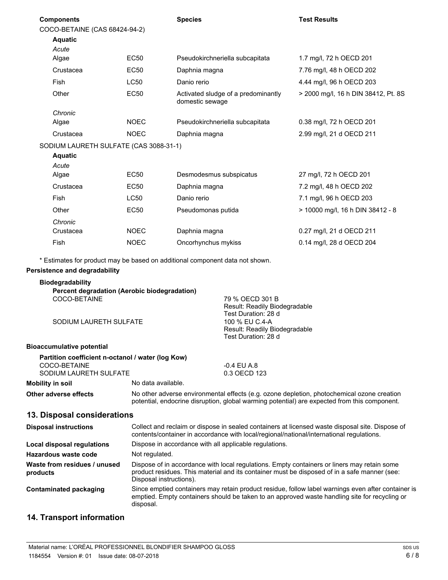| COCO-BETAINE (CAS 68424-94-2)        |                                                        |                                                                                                                                                                                                       |
|--------------------------------------|--------------------------------------------------------|-------------------------------------------------------------------------------------------------------------------------------------------------------------------------------------------------------|
|                                      |                                                        |                                                                                                                                                                                                       |
|                                      |                                                        |                                                                                                                                                                                                       |
|                                      |                                                        |                                                                                                                                                                                                       |
|                                      |                                                        | 1.7 mg/l, 72 h OECD 201                                                                                                                                                                               |
|                                      |                                                        | 7.76 mg/l, 48 h OECD 202                                                                                                                                                                              |
| <b>LC50</b>                          | Danio rerio                                            | 4.44 mg/l, 96 h OECD 203                                                                                                                                                                              |
| <b>EC50</b>                          | Activated sludge of a predominantly<br>domestic sewage | > 2000 mg/l, 16 h DIN 38412, Pt. 8S                                                                                                                                                                   |
|                                      |                                                        |                                                                                                                                                                                                       |
| <b>NOEC</b>                          | Pseudokirchneriella subcapitata                        | 0.38 mg/l, 72 h OECD 201                                                                                                                                                                              |
| <b>NOEC</b>                          | Daphnia magna                                          | 2.99 mg/l, 21 d OECD 211                                                                                                                                                                              |
|                                      |                                                        |                                                                                                                                                                                                       |
|                                      |                                                        |                                                                                                                                                                                                       |
|                                      |                                                        |                                                                                                                                                                                                       |
|                                      |                                                        | 27 mg/l, 72 h OECD 201                                                                                                                                                                                |
| EC50                                 | Daphnia magna                                          | 7.2 mg/l, 48 h OECD 202                                                                                                                                                                               |
| <b>LC50</b>                          | Danio rerio                                            | 7.1 mg/l, 96 h OECD 203                                                                                                                                                                               |
| <b>EC50</b>                          | Pseudomonas putida                                     | > 10000 mg/l, 16 h DIN 38412 - 8                                                                                                                                                                      |
|                                      |                                                        |                                                                                                                                                                                                       |
| <b>NOEC</b>                          | Daphnia magna                                          | 0.27 mg/l, 21 d OECD 211                                                                                                                                                                              |
| <b>NOEC</b>                          | Oncorhynchus mykiss                                    | 0.14 mg/l, 28 d OECD 204                                                                                                                                                                              |
|                                      |                                                        |                                                                                                                                                                                                       |
| <b>Persistence and degradability</b> |                                                        |                                                                                                                                                                                                       |
|                                      | <b>EC50</b><br><b>EC50</b><br><b>EC50</b>              | Pseudokirchneriella subcapitata<br>Daphnia magna<br>SODIUM LAURETH SULFATE (CAS 3088-31-1)<br>Desmodesmus subspicatus<br>* Estimates for product may be based on additional component data not shown. |

| COCO-BETAINE<br>SODIUM LAURETH SULFATE                                                      |                                                                                                                                                                                             | 79 % OECD 301 B<br>Result: Readily Biodegradable<br>Test Duration: 28 d<br>100 % EU C.4-A<br>Result: Readily Biodegradable                                                                  |
|---------------------------------------------------------------------------------------------|---------------------------------------------------------------------------------------------------------------------------------------------------------------------------------------------|---------------------------------------------------------------------------------------------------------------------------------------------------------------------------------------------|
|                                                                                             |                                                                                                                                                                                             | Test Duration: 28 d                                                                                                                                                                         |
| Bioaccumulative potential                                                                   |                                                                                                                                                                                             |                                                                                                                                                                                             |
| Partition coefficient n-octanol / water (log Kow)<br>COCO-BETAINE<br>SODIUM LAURETH SULFATE |                                                                                                                                                                                             | $-0.4$ EU A.8<br>0.3 OECD 123                                                                                                                                                               |
| <b>Mobility in soil</b>                                                                     | No data available.                                                                                                                                                                          |                                                                                                                                                                                             |
| Other adverse effects                                                                       | No other adverse environmental effects (e.g. ozone depletion, photochemical ozone creation<br>potential, endocrine disruption, global warming potential) are expected from this component.  |                                                                                                                                                                                             |
| 13. Disposal considerations                                                                 |                                                                                                                                                                                             |                                                                                                                                                                                             |
| <b>Disposal instructions</b>                                                                | Collect and reclaim or dispose in sealed containers at licensed waste disposal site. Dispose of<br>contents/container in accordance with local/regional/national/international regulations. |                                                                                                                                                                                             |
| Local disposal regulations                                                                  | Dispose in accordance with all applicable regulations.                                                                                                                                      |                                                                                                                                                                                             |
| Hazardous waste code                                                                        | Not regulated.                                                                                                                                                                              |                                                                                                                                                                                             |
| Waste from residues / unused<br>products                                                    | Disposal instructions).                                                                                                                                                                     | Dispose of in accordance with local regulations. Empty containers or liners may retain some<br>product residues. This material and its container must be disposed of in a safe manner (see: |

Since emptied containers may retain product residue, follow label warnings even after container is emptied. Empty containers should be taken to an approved waste handling site for recycling or disposal. **Contaminated packaging**

# **14. Transport information**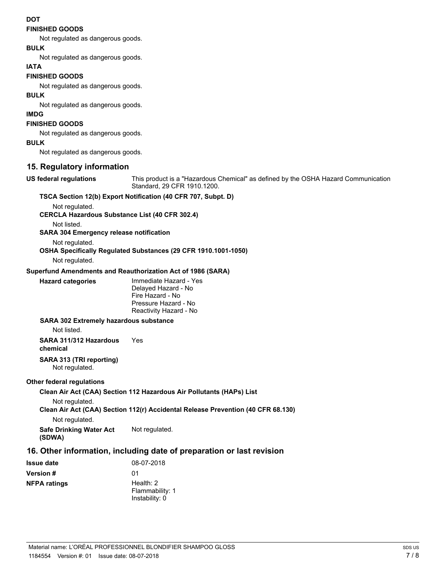#### **DOT**

#### **FINISHED GOODS**

Not regulated as dangerous goods.

## **BULK**

Not regulated as dangerous goods.

#### **IATA**

#### **FINISHED GOODS**

Not regulated as dangerous goods.

# **BULK**

Not regulated as dangerous goods.

## **IMDG**

#### **FINISHED GOODS**

Not regulated as dangerous goods.

#### **BULK**

Not regulated as dangerous goods.

#### **15. Regulatory information**

**US federal regulations**

This product is a "Hazardous Chemical" as defined by the OSHA Hazard Communication Standard, 29 CFR 1910.1200.

#### **TSCA Section 12(b) Export Notification (40 CFR 707, Subpt. D)**

Not regulated.

**CERCLA Hazardous Substance List (40 CFR 302.4)**

Not listed.

#### **SARA 304 Emergency release notification**

Not regulated.

#### **OSHA Specifically Regulated Substances (29 CFR 1910.1001-1050)**

Not regulated.

#### **Superfund Amendments and Reauthorization Act of 1986 (SARA)**

| <b>Hazard categories</b> | Immediate Hazard - Yes<br>Delayed Hazard - No<br>Fire Hazard - No<br>Pressure Hazard - No |
|--------------------------|-------------------------------------------------------------------------------------------|
|                          | Reactivity Hazard - No                                                                    |

#### **SARA 302 Extremely hazardous substance**

Not listed.

**SARA 311/312 Hazardous** Yes **chemical**

#### **SARA 313 (TRI reporting)**

Not regulated.

#### **Other federal regulations**

**Clean Air Act (CAA) Section 112 Hazardous Air Pollutants (HAPs) List** Not regulated. **Clean Air Act (CAA) Section 112(r) Accidental Release Prevention (40 CFR 68.130)** Not regulated. **Safe Drinking Water Act** Not regulated. **(SDWA)**

## **16. Other information, including date of preparation or last revision**

| Issue date   | 08-07-2018                                       |
|--------------|--------------------------------------------------|
| Version #    | 01                                               |
| NFPA ratings | Health: $2$<br>Flammability: 1<br>Instability: 0 |